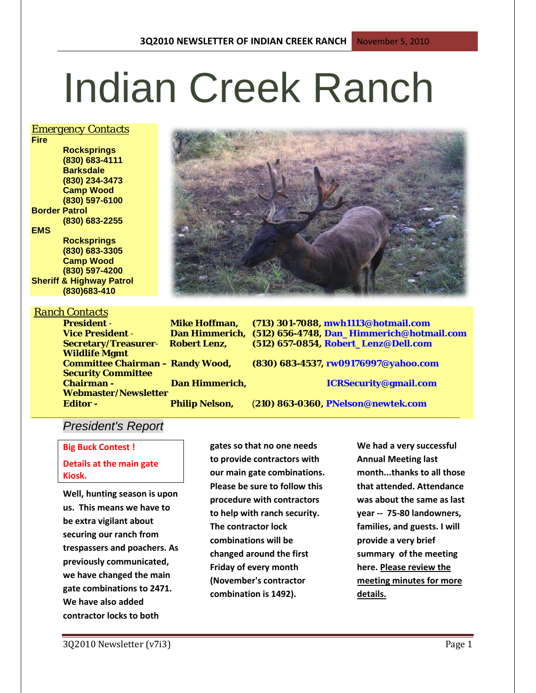# Indian Creek Ranch

#### *Emergency Contacts*

**Fire Rocksprings (830) 683-4111 Barksdale (830) 234-3473 Camp Wood (830) 597-6100 Border Patrol (830) 683-2255 EMS Rocksprings (830) 683-3305 Camp Wood (830) 597-4200 Sheriff & Highway Patrol**

**(830)683-410**

**Wildlife Mgmt** 

**Security Committee** 

## *Ranch Contacts*

**President** - **Mike Hoffman, (713) 301-7088, mwh1113@hotmail.com Vice President** - **Dan Himmerich, (512) 656-4748, Dan\_Himmerich@hotmail.com Secretary/Treasurer**- **Robert Lenz, (512) 657-0854, Robert\_Lenz@Dell.com**

**Committee Chairman – Randy Wood, (830) 683-4537, rw09176997@yahoo.com**

**Chairman - Dan Himmerich, ICRSecurity@gmail.com**

**\_\_\_\_\_\_\_\_\_\_\_\_\_\_\_\_\_\_\_\_\_\_\_\_\_\_\_\_\_\_\_\_\_\_\_\_\_\_\_\_\_\_\_\_\_\_\_\_\_\_\_\_\_\_\_\_\_\_\_\_\_\_\_\_\_\_\_\_\_\_\_\_\_\_\_\_\_\_\_\_\_\_\_\_\_\_\_\_**

**Editor - Philip Nelson,** (**210) 863-0360, PNelson@newtek.com**

# *President's Report*

**Webmaster/Newsletter** 

**Big Buck Contest ! Details at the main gate** 

**Kiosk. Well, hunting season is upon** 

**us. This means we have to be extra vigilant about securing our ranch from trespassers and poachers. As previously communicated, we have changed the main gate combinations to 2471. We have also added contractor locks to both** 

**to provide contractors with our main gate combinations. Please be sure to follow this procedure with contractors to help with ranch security. The contractor lock combinations will be changed around the first Friday of every month (November's contractor combination is 1492).** 

**gates so that no one needs** 

**We had a very successful Annual Meeting last month...thanks to all those that attended. Attendance was about the same as last year -- 75-80 landowners, families, and guests. I will provide a very brief summary of the meeting here. Please review the meeting minutes for more details.**

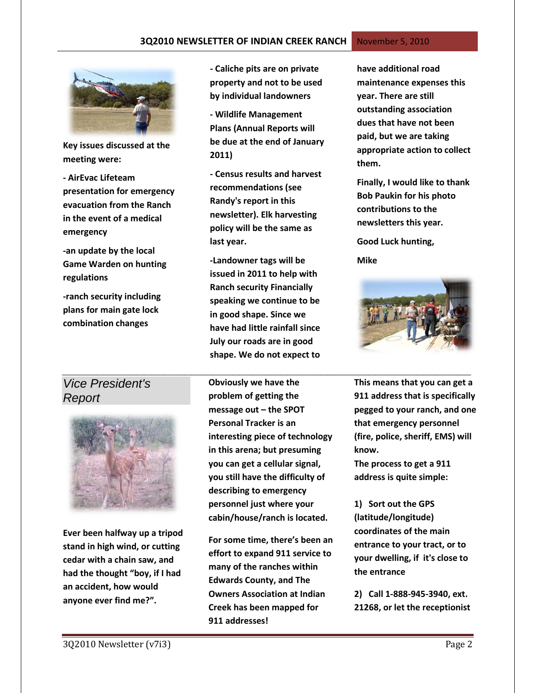#### **3Q2010 NEWSLETTER OF INDIAN CREEK RANCH** November 5, 2010



**Key issues discussed at the meeting were:**

**- AirEvac Lifeteam presentation for emergency evacuation from the Ranch in the event of a medical emergency**

**-an update by the local Game Warden on hunting regulations**

**-ranch security including plans for main gate lock combination changes**

# *Vice President's Report*



**Ever been halfway up a tripod stand in high wind, or cutting cedar with a chain saw, and had the thought "boy, if I had an accident, how would anyone ever find me?".** 

**- Caliche pits are on private property and not to be used by individual landowners**

**- Wildlife Management Plans (Annual Reports will be due at the end of January 2011)**

**- Census results and harvest recommendations (see Randy's report in this newsletter). Elk harvesting policy will be the same as last year.** 

**-Landowner tags will be issued in 2011 to help with Ranch security Financially speaking we continue to be in good shape. Since we have had little rainfall since July our roads are in good shape. We do not expect to** 

**Obviously we have the problem of getting the message out – the SPOT Personal Tracker is an interesting piece of technology in this arena; but presuming you can get a cellular signal, you still have the difficulty of describing to emergency personnel just where your cabin/house/ranch is located.**

**For some time, there's been an effort to expand 911 service to many of the ranches within Edwards County, and The Owners Association at Indian Creek has been mapped for 911 addresses!**

**have additional road maintenance expenses this year. There are still outstanding association dues that have not been paid, but we are taking appropriate action to collect them.**

**Finally, I would like to thank Bob Paukin for his photo contributions to the newsletters this year.**

**Good Luck hunting,**

**Mike**



*\_\_\_\_\_\_\_\_\_\_\_\_\_\_\_\_\_\_\_\_\_\_\_\_\_\_\_\_\_\_\_\_\_\_\_\_\_\_\_\_\_\_\_\_\_\_\_\_\_\_\_\_\_\_\_\_\_\_\_\_* **This means that you can get a 911 address that is specifically pegged to your ranch, and one that emergency personnel (fire, police, sheriff, EMS) will know.**

> **The process to get a 911 address is quite simple:**

**1) Sort out the GPS (latitude/longitude) coordinates of the main entrance to your tract, or to your dwelling, if it's close to the entrance**

**2) Call 1-888-945-3940, ext. 21268, or let the receptionist**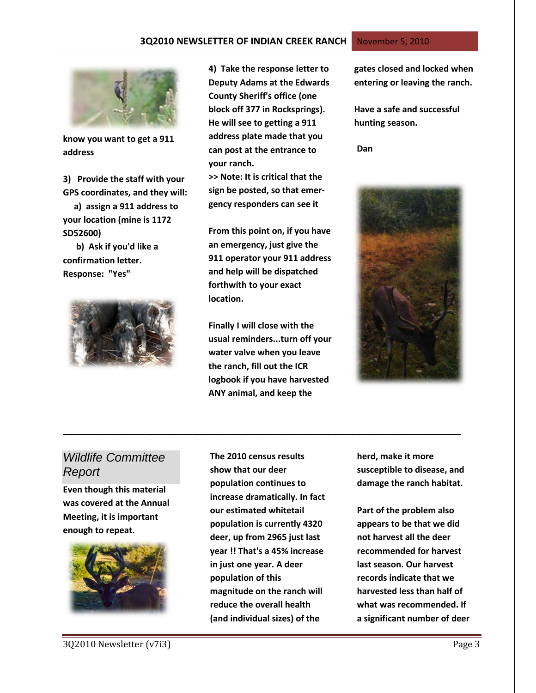#### **3Q2010 NEWSLETTER OF INDIAN CREEK RANCH** November 5, 2010



**know you want to get a 911 address**

**3) Provide the staff with your GPS coordinates, and they will:**

 **a) assign a 911 address to your location (mine is 1172 SD52600)**

 **b) Ask if you'd like a confirmation letter. Response: "Yes"**



**4) Take the response letter to Deputy Adams at the Edwards County Sheriff's office (one block off 377 in Rocksprings). He will see to getting a 911 address plate made that you can post at the entrance to your ranch.**

**>> Note: It is critical that the sign be posted, so that emergency responders can see it**

**From this point on, if you have an emergency, just give the 911 operator your 911 address and help will be dispatched forthwith to your exact location.**

**Finally I will close with the usual reminders...turn off your water valve when you leave the ranch, fill out the ICR logbook if you have harvested ANY animal, and keep the** 

**\_\_\_\_\_\_\_\_\_\_\_\_\_\_\_\_\_\_\_\_\_\_\_\_\_\_\_\_\_\_\_\_\_\_\_\_\_\_\_\_\_\_\_\_\_\_\_\_\_\_\_\_\_\_\_\_\_\_\_\_\_\_\_\_\_\_\_\_\_\_\_\_\_\_\_\_\_\_\_\_\_\_\_**

**gates closed and locked when entering or leaving the ranch.**

**Have a safe and successful hunting season.**

 **Dan**



# *Wildlife Committee Report*

**Even though this material was covered at the Annual Meeting, it is important enough to repeat.**



**The 2010 census results show that our deer population continues to increase dramatically. In fact our estimated whitetail population is currently 4320 deer, up from 2965 just last year !! That's a 45% increase in just one year. A deer population of this magnitude on the ranch will reduce the overall health (and individual sizes) of the** 

**herd, make it more susceptible to disease, and damage the ranch habitat.**

**Part of the problem also appears to be that we did not harvest all the deer recommended for harvest last season. Our harvest records indicate that we harvested less than half of what was recommended. If a significant number of deer**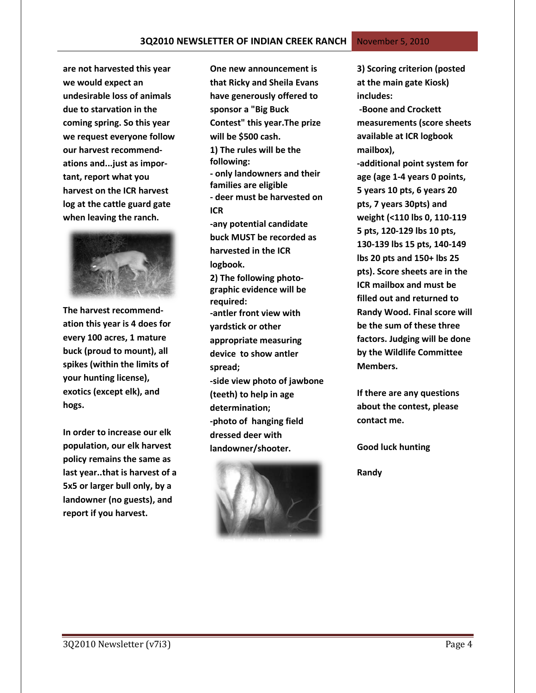**are not harvested this year we would expect an undesirable loss of animals due to starvation in the coming spring. So this year we request everyone follow our harvest recommendations and...just as important, report what you harvest on the ICR harvest log at the cattle guard gate when leaving the ranch.**



**The harvest recommendation this year is 4 does for every 100 acres, 1 mature buck (proud to mount), all spikes (within the limits of your hunting license), exotics (except elk), and hogs.**

**In order to increase our elk population, our elk harvest policy remains the same as last year..that is harvest of a 5x5 or larger bull only, by a landowner (no guests), and report if you harvest.**

**One new announcement is that Ricky and Sheila Evans have generously offered to sponsor a "Big Buck Contest" this year.The prize will be \$500 cash. 1) The rules will be the following: - only landowners and their families are eligible - deer must be harvested on ICR -any potential candidate buck MUST be recorded as harvested in the ICR logbook. 2) The following photographic evidence will be required: -antler front view with yardstick or other appropriate measuring device to show antler spread; -side view photo of jawbone (teeth) to help in age determination; -photo of hanging field dressed deer with landowner/shooter.**



**3) Scoring criterion (posted at the main gate Kiosk) includes: -Boone and Crockett measurements (score sheets available at ICR logbook mailbox), -additional point system for age (age 1-4 years 0 points, 5 years 10 pts, 6 years 20 pts, 7 years 30pts) and weight (<110 lbs 0, 110-119 5 pts, 120-129 lbs 10 pts, 130-139 lbs 15 pts, 140-149 lbs 20 pts and 150+ lbs 25 pts). Score sheets are in the ICR mailbox and must be filled out and returned to Randy Wood. Final score will be the sum of these three factors. Judging will be done by the Wildlife Committee Members.**

**If there are any questions about the contest, please contact me.**

**Good luck hunting** 

**Randy**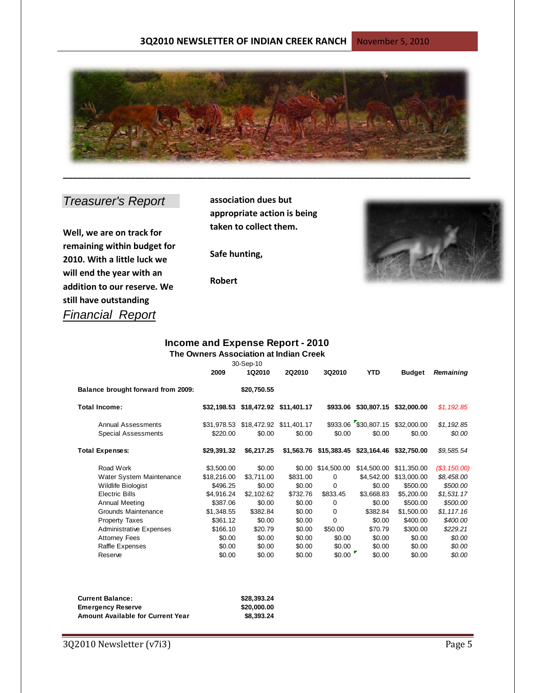

# *Treasurer's Report*

**Well, we are on track for remaining within budget for 2010. With a little luck we will end the year with an addition to our reserve. We still have outstanding**  *Financial Report*

**association dues but appropriate action is being taken to collect them.**

**Safe hunting,**

**Robert**



#### **Income and Expense Report - 2010 The Owners Association at Indian Creek**

|                                    | 30-Sep-10   |                                     |                         |             |                                  |               |                  |
|------------------------------------|-------------|-------------------------------------|-------------------------|-------------|----------------------------------|---------------|------------------|
|                                    | 2009        | 1Q2010                              | <b>2Q2010</b>           | 3Q2010      | <b>YTD</b>                       | <b>Budget</b> | <b>Remaining</b> |
| Balance brought forward from 2009: |             | \$20,750.55                         |                         |             |                                  |               |                  |
| Total Income:                      | \$32,198.53 |                                     | \$18,472.92 \$11,401.17 | \$933.06    | \$30,807.15                      | \$32,000.00   | \$1,192.85       |
| Annual Assessments                 |             | \$31,978.53 \$18,472.92 \$11,401.17 |                         |             | \$933.06 \$30,807.15 \$32,000.00 |               | \$1,192.85       |
| <b>Special Assessments</b>         | \$220.00    | \$0.00                              | \$0.00                  | \$0.00      | \$0.00                           | \$0.00        | \$0.00           |
| <b>Total Expenses:</b>             | \$29,391.32 | \$6,217.25                          | \$1,563.76              | \$15,383.45 | \$23,164.46                      | \$32,750.00   | \$9,585.54       |
| Road Work                          | \$3,500.00  | \$0.00                              | \$0.00                  | \$14,500.00 | \$14,500.00                      | \$11,350.00   | (S3, 150.00)     |
| Water System Maintenance           | \$18,216.00 | \$3,711.00                          | \$831.00                | 0           | \$4,542.00                       | \$13,000.00   | \$8,458.00       |
| Wildlife Biologist                 | \$496.25    | \$0.00                              | \$0.00                  | 0           | \$0.00                           | \$500.00      | \$500.00         |
| <b>Electric Bills</b>              | \$4,916.24  | \$2,102.62                          | \$732.76                | \$833.45    | \$3,668.83                       | \$5,200.00    | \$1,531.17       |
| <b>Annual Meeting</b>              | \$387.06    | \$0.00                              | \$0.00                  | 0           | \$0.00                           | \$500.00      | \$500.00         |
| Grounds Maintenance                | \$1,348.55  | \$382.84                            | \$0.00                  | $\Omega$    | \$382.84                         | \$1,500.00    | \$1,117.16       |
| <b>Property Taxes</b>              | \$361.12    | \$0.00                              | \$0.00                  | $\Omega$    | \$0.00                           | \$400.00      | \$400.00         |
| <b>Administrative Expenses</b>     | \$166.10    | \$20.79                             | \$0.00                  | \$50.00     | \$70.79                          | \$300.00      | \$229.21         |
| <b>Attorney Fees</b>               | \$0.00      | \$0.00                              | \$0.00                  | \$0.00      | \$0.00                           | \$0.00        | \$0.00           |
| Raffle Expenses                    | \$0.00      | \$0.00                              | \$0.00                  | \$0.00      | \$0.00                           | \$0.00        | \$0.00           |
| Reserve                            | \$0.00      | \$0.00                              | \$0.00                  | \$0.00      | \$0.00                           | \$0.00        | \$0.00           |

| <b>Current Balance:</b>                  | \$28.393.24 |
|------------------------------------------|-------------|
| <b>Emergency Reserve</b>                 | \$20,000.00 |
| <b>Amount Available for Current Year</b> | \$8,393,24  |